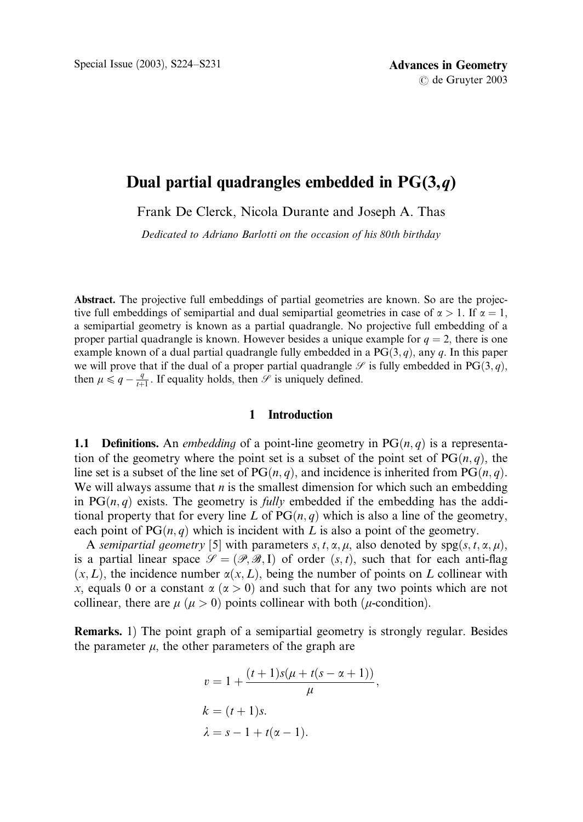# Dual partial quadrangles embedded in  $PG(3,q)$

Frank De Clerck, Nicola Durante and Joseph A. Thas

Dedicated to Adriano Barlotti on the occasion of his 80th birthday

Abstract. The projective full embeddings of partial geometries are known. So are the projective full embeddings of semipartial and dual semipartial geometries in case of  $\alpha > 1$ . If  $\alpha = 1$ , a semipartial geometry is known as a partial quadrangle. No projective full embedding of a proper partial quadrangle is known. However besides a unique example for  $q = 2$ , there is one example known of a dual partial quadrangle fully embedded in a  $PG(3, q)$ , any q. In this paper we will prove that if the dual of a proper partial quadrangle  $\mathscr S$  is fully embedded in PG(3, q), then  $\mu \leq q - \frac{q}{t+1}$ . If equality holds, then  $\mathscr S$  is uniquely defined.

## 1 Introduction

**1.1 Definitions.** An *embedding* of a point-line geometry in  $PG(n, q)$  is a representation of the geometry where the point set is a subset of the point set of  $PG(n, q)$ , the line set is a subset of the line set of  $PG(n, q)$ , and incidence is inherited from  $PG(n, q)$ . We will always assume that  $n$  is the smallest dimension for which such an embedding in  $PG(n, q)$  exists. The geometry is *fully* embedded if the embedding has the additional property that for every line L of  $PG(n, q)$  which is also a line of the geometry, each point of  $PG(n, q)$  which is incident with L is also a point of the geometry.

A semipartial geometry [5] with parameters s, t,  $\alpha$ ,  $\mu$ , also denoted by spg $(s, t, \alpha, \mu)$ , is a partial linear space  $\mathcal{S} = (\mathcal{P}, \mathcal{B}, I)$  of order  $(s, t)$ , such that for each anti-flag  $(x, L)$ , the incidence number  $\alpha(x, L)$ , being the number of points on L collinear with x, equals 0 or a constant  $\alpha (\alpha > 0)$  and such that for any two points which are not collinear, there are  $\mu$  ( $\mu > 0$ ) points collinear with both ( $\mu$ -condition).

Remarks. 1) The point graph of a semipartial geometry is strongly regular. Besides the parameter  $\mu$ , the other parameters of the graph are

$$
v = 1 + \frac{(t+1)s(\mu + t(s - \alpha + 1))}{\mu},
$$
  
\n
$$
k = (t+1)s.
$$
  
\n
$$
\lambda = s - 1 + t(\alpha - 1).
$$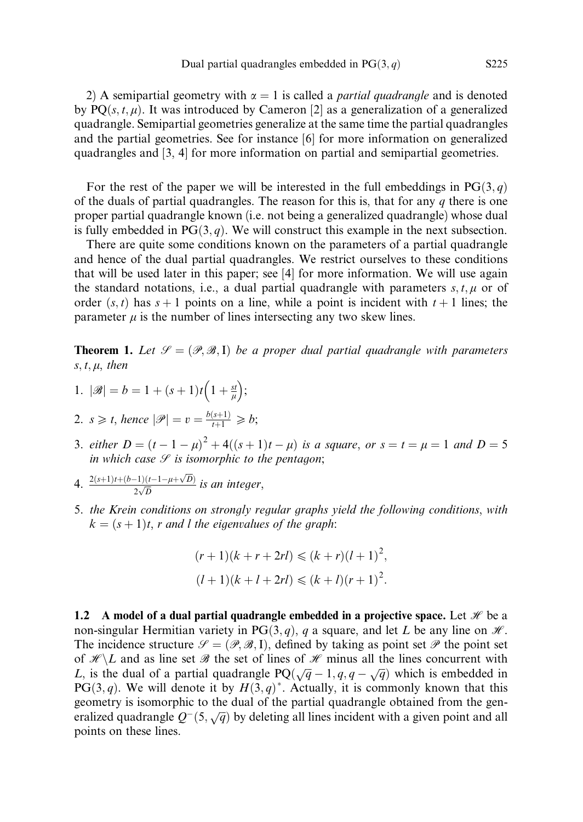2) A semipartial geometry with  $\alpha = 1$  is called a *partial quadrangle* and is denoted by  $PO(s, t, \mu)$ . It was introduced by Cameron [2] as a generalization of a generalized quadrangle. Semipartial geometries generalize at the same time the partial quadrangles and the partial geometries. See for instance [6] for more information on generalized quadrangles and [3, 4] for more information on partial and semipartial geometries.

For the rest of the paper we will be interested in the full embeddings in  $PG(3, q)$ of the duals of partial quadrangles. The reason for this is, that for any  $q$  there is one proper partial quadrangle known (i.e. not being a generalized quadrangle) whose dual is fully embedded in  $PG(3, q)$ . We will construct this example in the next subsection.

There are quite some conditions known on the parameters of a partial quadrangle and hence of the dual partial quadrangles. We restrict ourselves to these conditions that will be used later in this paper; see [4] for more information. We will use again the standard notations, i.e., a dual partial quadrangle with parameters  $s, t, \mu$  or of order  $(s, t)$  has  $s + 1$  points on a line, while a point is incident with  $t + 1$  lines; the parameter  $\mu$  is the number of lines intersecting any two skew lines.

**Theorem 1.** Let  $\mathcal{S} = (\mathcal{P}, \mathcal{B}, I)$  be a proper dual partial quadrangle with parameters  $s, t, \mu,$  then

- 1.  $|\mathscr{B}| = b = 1 + (s+1)t\left(1 + \frac{st}{\mu}\right)$  $\overline{C}$   $\overline{A}$ ;
- 2.  $s \geq t$ , hence  $|\mathscr{P}| = v = \frac{b(s+1)}{t+1} \geq b$ ;
- 3. either  $D = (t 1 \mu)^2 + 4((s + 1)t \mu)$  is a square, or  $s = t = \mu = 1$  and  $D = 5$ in which case  $\mathcal S$  is isomorphic to the pentagon;
- 4.  $\frac{2(s+1)t+(b-1)(t-1-\mu+\sqrt{D})}{2\sqrt{D}}$  $rac{(-1)(t-1-\mu+\sqrt{D})}{2\sqrt{D}}$  is an integer,
- 5. the Krein conditions on strongly regular graphs yield the following conditions, with  $k = (s + 1)t$ , r and l the eigenvalues of the graph:

$$
(r+1)(k + r + 2rl) \le (k + r)(l + 1)^2,
$$
  

$$
(l + 1)(k + l + 2rl) \le (k + l)(r + 1)^2.
$$

1.2 A model of a dual partial quadrangle embedded in a projective space. Let  $\mathcal H$  be a non-singular Hermitian variety in PG $(3, q)$ , q a square, and let L be any line on  $\mathcal{H}$ . The incidence structure  $\mathcal{S} = (\mathcal{P}, \mathcal{B}, I)$ , defined by taking as point set  $\mathcal{P}$  the point set of  $\mathcal{H}\backslash L$  and as line set  $\mathcal{B}$  the set of lines of  $\mathcal{H}$  minus all the lines concurrent with L, is the dual of a partial quadrangle  $PQ(\sqrt{q}-1, q, q-\sqrt{q})$  which is embedded in PG(3,q). We will denote it by  $H(3,q)^*$ . Actually, it is commonly known that this geometry is isomorphic to the dual of the partial quadrangle obtained from the generalized quadrangle  $Q^{-}(5, \sqrt{q})$  by deleting all lines incident with a given point and all points on these lines.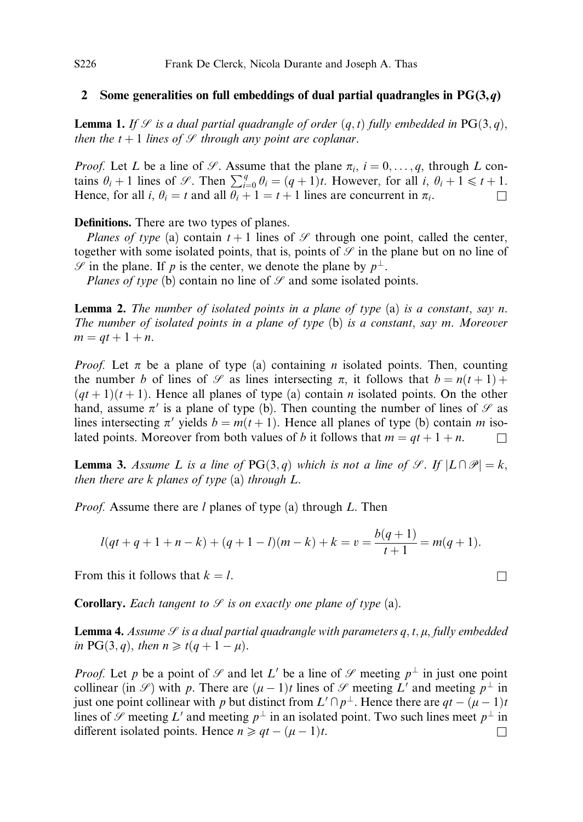#### 2 Some generalities on full embeddings of dual partial quadrangles in  $PG(3,q)$

**Lemma 1.** If  $\mathcal{S}$  is a dual partial quadrangle of order  $(q, t)$  fully embedded in PG $(3, q)$ , then the  $t + 1$  lines of  $\mathcal G$  through any point are coplanar.

*Proof.* Let L be a line of  $\mathcal{S}$ . Assume that the plane  $\pi_i$ ,  $i = 0, \ldots, q$ , through L contains  $\theta_i + 1$  lines of  $\mathcal{S}$ . Then  $\sum_{i=0}^{q} \theta_i = (q+1)t$ . However, for all  $i, \theta_i + 1 \le t + 1$ . Hence, for all i,  $\theta_i = t$  and all  $\theta_i + 1 = t + 1$  lines are concurrent in  $\pi_i$ .

Definitions. There are two types of planes.

Planes of type (a) contain  $t + 1$  lines of  $\mathscr S$  through one point, called the center, together with some isolated points, that is, points of  $\mathcal G$  in the plane but on no line of  $\mathscr S$  in the plane. If p is the center, we denote the plane by  $p^{\perp}$ .

Planes of type (b) contain no line of  $\mathcal{S}$  and some isolated points.

**Lemma 2.** The number of isolated points in a plane of type  $(a)$  is a constant, say n. The number of isolated points in a plane of type (b) is a constant, say m. Moreover  $m = qt + 1 + n.$ 

*Proof.* Let  $\pi$  be a plane of type (a) containing *n* isolated points. Then, counting the number b of lines of  $\mathcal S$  as lines intersecting  $\pi$ , it follows that  $b = n(t+1) +$  $(qt+1)(t+1)$ . Hence all planes of type (a) contain *n* isolated points. On the other hand, assume  $\pi'$  is a plane of type (b). Then counting the number of lines of  $\mathscr S$  as lines intersecting  $\pi'$  yields  $b = m(t + 1)$ . Hence all planes of type (b) contain m isolated points. Moreover from both values of b it follows that  $m = qt + 1 + n$ .

**Lemma 3.** Assume L is a line of PG(3, q) which is not a line of  $\mathcal{S}$ . If  $|L \cap \mathcal{P}| = k$ , then there are  $k$  planes of type  $(a)$  through  $L$ .

*Proof.* Assume there are  $l$  planes of type (a) through  $L$ . Then

$$
l(qt + q + 1 + n - k) + (q + 1 - l)(m - k) + k = v = \frac{b(q + 1)}{t + 1} = m(q + 1).
$$

From this it follows that  $k = l$ .

**Corollary.** Each tangent to  $\mathcal{S}$  is on exactly one plane of type (a).

**Lemma 4.** Assume  $\mathcal{S}$  is a dual partial quadrangle with parameters q, t,  $\mu$ , fully embedded in PG(3, q), then  $n \geq t(q + 1 - \mu)$ .

*Proof.* Let p be a point of  $\mathcal G$  and let L' be a line of  $\mathcal G$  meeting  $p^{\perp}$  in just one point collinear (in  $\mathscr{S}$ ) with p. There are  $(\mu - 1)t$  lines of  $\mathscr{S}$  meeting L' and meeting  $p^{\perp}$  in just one point collinear with p but distinct from  $L' \cap p^{\perp}$ . Hence there are  $qt - (\mu - 1)t$ lines of  $\mathscr S$  meeting L' and meeting  $p^{\perp}$  in an isolated point. Two such lines meet  $p^{\perp}$  in different isolated points. Hence  $n \ge qt - (\mu - 1)t$ .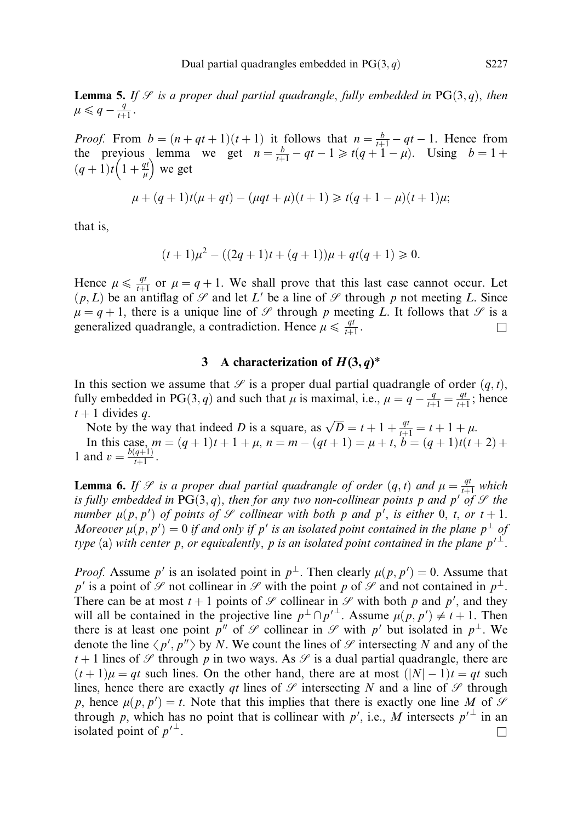**Lemma 5.** If  $\mathcal{S}$  is a proper dual partial quadrangle, fully embedded in PG(3,q), then  $\mu \leqslant q - \frac{q}{t+1}.$ 

*Proof.* From  $b = (n + qt + 1)(t + 1)$  it follows that  $n = \frac{b}{t+1} - qt - 1$ . Hence from the previous lemma we get  $n = \frac{b}{t+1} - qt - 1 \ge t(q+1-\mu)$ . Using  $b = 1+\mu$  $(q+1)t\left(1+\frac{qt}{\mu}\right)$ evious lemma<br> $\left(1+\frac{qt}{u}\right)$  we get

$$
\mu + (q+1)t(\mu + qt) - (\mu qt + \mu)(t+1) \geq t(q+1-\mu)(t+1)\mu;
$$

that is,

$$
(t+1)\mu^{2} - ((2q+1)t + (q+1))\mu + qt(q+1) \ge 0.
$$

Hence  $\mu \le \frac{qt}{t+1}$  or  $\mu = q + 1$ . We shall prove that this last case cannot occur. Let  $(p, L)$  be an antiflag of  $\mathcal G$  and let  $L'$  be a line of  $\mathcal G$  through p not meeting L. Since  $\mu = q + 1$ , there is a unique line of  $\mathscr S$  through p meeting L. It follows that  $\mathscr S$  is a generalized quadrangle, a contradiction. Hence  $\mu \le \frac{qt}{t+1}$ .

## 3 A characterization of  $H(3, q)^*$

In this section we assume that  $\mathcal{S}$  is a proper dual partial quadrangle of order  $(q, t)$ , fully embedded in PG(3, q) and such that  $\mu$  is maximal, i.e.,  $\mu = q - \frac{q}{t+1} = \frac{qt}{t+1}$ ; hence  $t + 1$  divides q.

Note by the way that indeed D is a square, as  $\sqrt{D} = t + 1 + \frac{qt}{t+1} = t + 1 + \mu$ . In this case,  $m = (q + 1)t + 1 + \mu$ ,  $n = m - (qt + 1) = \mu + t$ ,  $b = (q + 1)t(t + 2) +$ 1 and  $v = \frac{b(q+1)}{t+1}$ .

**Lemma 6.** If  $\mathcal{S}$  is a proper dual partial quadrangle of order  $(q, t)$  and  $\mu = \frac{qt}{t+1}$  which is fully embedded in PG(3, q), then for any two non-collinear points p and p' of  $\mathcal G$  the number  $\mu(p, p')$  of points of  $\mathscr S$  collinear with both p and  $p'$ , is either 0, t, or  $t + 1$ . Moreover  $\mu(p, p') = 0$  if and only if p' is an isolated point contained in the plane  $p^{\perp}$  of type (a) with center p, or equivalently, p is an isolated point contained in the plane  $p'^{\perp}$ .

*Proof.* Assume p' is an isolated point in  $p^{\perp}$ . Then clearly  $\mu(p, p') = 0$ . Assume that p' is a point of  $\mathscr S$  not collinear in  $\mathscr S$  with the point p of  $\mathscr S$  and not contained in  $p^{\perp}$ . There can be at most  $t + 1$  points of  $\mathcal{S}$  collinear in  $\mathcal{S}$  with both p and p', and they will all be contained in the projective line  $p^{\perp} \cap p'^{\perp}$ . Assume  $\mu(p, p') \neq t+1$ . Then there is at least one point  $p''$  of  $\mathcal G$  collinear in  $\mathcal G$  with  $p'$  but isolated in  $p^{\perp}$ . We denote the line  $\langle p', p'' \rangle$  by N. We count the lines of  $\mathscr S$  intersecting N and any of the  $t + 1$  lines of  $\mathscr S$  through p in two ways. As  $\mathscr S$  is a dual partial quadrangle, there are  $(t+1)\mu = qt$  such lines. On the other hand, there are at most  $(|N|-1)t = qt$  such lines, hence there are exactly qt lines of  $\mathscr S$  intersecting N and a line of  $\mathscr S$  through p, hence  $\mu(p, p') = t$ . Note that this implies that there is exactly one line M of  $\mathcal S$ through p, which has no point that is collinear with p', i.e., M intersects  $p'^{\perp}$  in an isolated point of  $p'^{\perp}$ .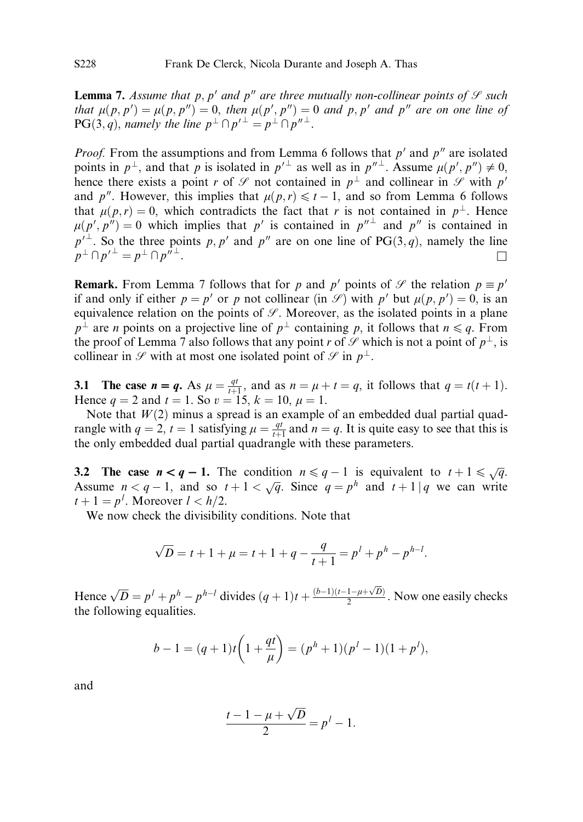**Lemma 7.** Assume that p, p' and p'' are three mutually non-collinear points of  $\mathcal{S}$  such that  $\mu(p, p') = \mu(p, p'') = 0$ , then  $\mu(p', p'') = 0$  and p, p' and p'' are on one line of  $PG(3, q)$ , namely the line  $p^{\perp} \cap p'^{\perp} = p^{\perp} \cap p''^{\perp}$ .

*Proof.* From the assumptions and from Lemma 6 follows that  $p'$  and  $p''$  are isolated points in  $p^{\perp}$ , and that  $p$  is isolated in  $p'^{\perp}$  as well as in  $p''^{\perp}$ . Assume  $\mu(p', p'') \neq 0$ , hence there exists a point r of  $\mathcal G$  not contained in  $p^{\perp}$  and collinear in  $\mathcal G$  with  $p'$ and p<sup>n</sup>. However, this implies that  $\mu(p,r) \leq t - 1$ , and so from Lemma 6 follows that  $\mu(p,r) = 0$ , which contradicts the fact that r is not contained in  $p^{\perp}$ . Hence  $\mu(p', p'') = 0$  which implies that p' is contained in  $p''^{\perp}$  and p'' is contained in  $p'^{\perp}$ . So the three points p, p' and p'' are on one line of PG $(3, q)$ , namely the line  $p^{\perp} \cap p'^{\perp} = p^{\perp} \cap p''^{\perp}.$ 

**Remark.** From Lemma 7 follows that for p and p' points of  $\mathcal{S}$  the relation  $p \equiv p'$ if and only if either  $p = p'$  or p not collinear (in  $\mathcal{S}$ ) with p' but  $\mu(p, p') = 0$ , is an equivalence relation on the points of  $\mathcal{S}$ . Moreover, as the isolated points in a plane  $p^{\perp}$  are *n* points on a projective line of  $p^{\perp}$  containing p, it follows that  $n \leq q$ . From the proof of Lemma 7 also follows that any point r of  $\mathcal{S}$  which is not a point of  $p^{\perp}$ , is collinear in  $\mathscr S$  with at most one isolated point of  $\mathscr S$  in  $p^{\perp}$ .

3.1 The case  $n = q$ . As  $\mu = \frac{qt}{t+1}$ , and as  $n = \mu + t = q$ , it follows that  $q = t(t+1)$ . Hence  $q = 2$  and  $t = 1$ . So  $v = 15$ ,  $k = 10$ ,  $\mu = 1$ .

Note that  $W(2)$  minus a spread is an example of an embedded dual partial quadrangle with  $q = 2$ ,  $t = 1$  satisfying  $\mu = \frac{qt}{t+1}$  and  $n = q$ . It is quite easy to see that this is the only embedded dual partial quadrangle with these parameters.

3.2 The case  $n < q - 1$ . The condition  $n \leq q - 1$  is equivalent to  $t + 1 \leq \sqrt{q}$ . Assume  $n < q - 1$ , and so  $t + 1 < \sqrt{q}$ . Since  $q = p^h$  and  $t + 1 | q$  we can write  $t + 1 = p^l$ . Moreover  $l < h/2$ .

We now check the divisibility conditions. Note that

$$
\sqrt{D} = t + 1 + \mu = t + 1 + q - \frac{q}{t+1} = p^{l} + p^{h} - p^{h-l}.
$$

Hence  $\sqrt{D} = p^l + p^h - p^{h-l}$  divides  $(q + 1)t + \frac{(b-1)(t-1-\mu+\sqrt{D})}{2}$  $\frac{1-\mu+\sqrt{D}}{2}$ . Now one easily checks the following equalities.

$$
b-1 = (q+1)t\left(1+\frac{qt}{\mu}\right) = (p^h+1)(p^l-1)(1+p^l),
$$

and

$$
\frac{t-1-\mu+\sqrt{D}}{2}=p^l-1.
$$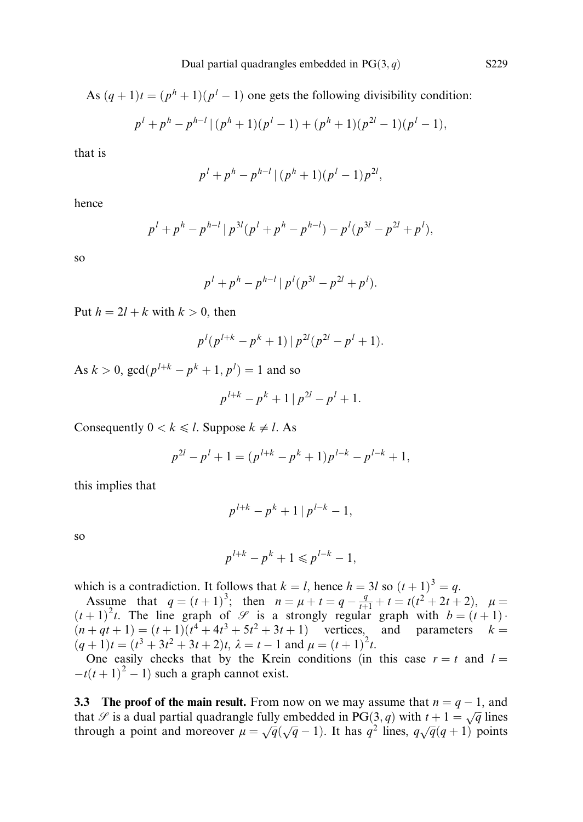As  $(q + 1)t = (p^h + 1)(p^l - 1)$  one gets the following divisibility condition:

$$
p^{l}+p^{h}-p^{h-l}\left\lfloor (p^{h}+1)(p^{l}-1)+(p^{h}+1)(p^{2l}-1)(p^{l}-1),\right\rfloor
$$

that is

$$
p^{l}+p^{h}-p^{h-l}\mid (p^{h}+1)(p^{l}-1)p^{2l},
$$

hence

$$
p^{l} + p^{h} - p^{h-l} | p^{3l} (p^{l} + p^{h} - p^{h-l}) - p^{l} (p^{3l} - p^{2l} + p^{l}),
$$

so

$$
p^{l} + p^{h} - p^{h-l} | p^{l} (p^{3l} - p^{2l} + p^{l}).
$$

Put  $h = 2l + k$  with  $k > 0$ , then

$$
p^{l}(p^{l+k}-p^{k}+1)\,|\,p^{2l}(p^{2l}-p^{l}+1).
$$

As  $k > 0$ , gcd $(p^{l+k} - p^k + 1, p^l) = 1$  and so

$$
p^{l+k} - p^k + 1 | p^{2l} - p^l + 1.
$$

Consequently  $0 < k \leq l$ . Suppose  $k \neq l$ . As

$$
p^{2l} - p^l + 1 = (p^{l+k} - p^k + 1)p^{l-k} - p^{l-k} + 1,
$$

this implies that

$$
p^{l+k} - p^k + 1 | p^{l-k} - 1,
$$

so

$$
p^{l+k} - p^k + 1 \leq p^{l-k} - 1,
$$

which is a contradiction. It follows that  $k = l$ , hence  $h = 3l$  so  $(t + 1)^3 = q$ .

Assume that  $q = (t+1)^3$ ; then  $n = \mu + t = q - \frac{q}{t+1} + t = t(t^2 + 2t + 2)$ ,  $\mu =$  $(t+1)^2t$ . The line graph of  $\mathscr S$  is a strongly regular graph with  $b = (t+1)$ .  $(n+qt+1) = (t+1)(t^4+4t^3+5t^2+3t+1)$  vertices, and parameters  $k =$  $(q+1)t = (t^3 + 3t^2 + 3t + 2)t$ ,  $\lambda = t - 1$  and  $\mu = (t+1)^2t$ .

One easily checks that by the Krein conditions (in this case  $r = t$  and  $l =$  $-t(t+1)^2 - 1$ ) such a graph cannot exist.

**3.3** The proof of the main result. From now on we may assume that  $n = q - 1$ , and that  $\mathscr S$  is a dual partial quadrangle fully embedded in PG $(3, q)$  with  $t + 1 = \sqrt{q}$  lines through a point and moreover  $\mu = \sqrt{q}(\sqrt{q} - 1)$ . It has  $q^2$  lines,  $q\sqrt{q}(q + 1)$  points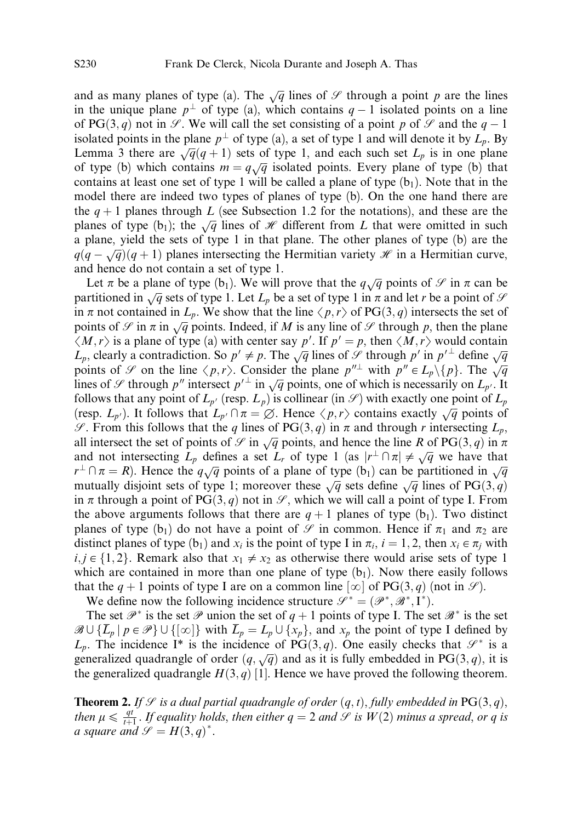and as many planes of type (a). The  $\sqrt{q}$  lines of  $\mathscr S$  through a point p are the lines in the unique plane  $p^{\perp}$  of type (a), which contains  $q-1$  isolated points on a line of PG $(3, q)$  not in  $\mathcal{S}$ . We will call the set consisting of a point p of  $\mathcal{S}$  and the  $q - 1$ isolated points in the plane  $p^{\perp}$  of type (a), a set of type 1 and will denote it by  $L_p$ . By Lemma 3 there are  $\sqrt{q}(q+1)$  sets of type 1, and each such set  $L_p$  is in one plane behind 3 literate  $\sqrt{q}(\overline{q} + 1)$  sets of type 1, and each such set  $D_p$  is in one plane of type (b) which contains  $m = q\sqrt{q}$  isolated points. Every plane of type (b) that contains at least one set of type 1 will be called a plane of type  $(b_1)$ . Note that in the model there are indeed two types of planes of type (b). On the one hand there are the  $q + 1$  planes through L (see Subsection 1.2 for the notations), and these are the planes of type (b<sub>1</sub>); the  $\sqrt{q}$  lines of *H* different from *L* that were omitted in such a plane, yield the sets of type 1 in that plane. The other planes of type (b) are the  $q(q - \sqrt{q})(q + 1)$  planes intersecting the Hermitian variety  $\mathcal{H}$  in a Hermitian curve, and hence do not contain a set of type 1.

Let  $\pi$  be a plane of type (b<sub>1</sub>). We will prove that the  $q\sqrt{q}$  points of  $\mathscr S$  in  $\pi$  can be partitioned in  $\sqrt{q}$  sets of type 1. Let  $L_p$  be a set of type 1 in  $\pi$  and let r be a point of S in  $\pi$  not contained in  $L_p$ . We show that the line  $\langle p, r \rangle$  of PG $(3, q)$  intersects the set of points of  $\mathcal{S}$  in  $\pi$  in  $\sqrt{q}$  points. Indeed, if M is any line of  $\mathcal{S}$  through p, then the plane  $\langle M,r \rangle$  is a plane of type (a) with center say p'. If  $p' = p$ , then  $\langle M,r \rangle$  would contain  $L_p$ , clearly a contradiction. So  $p' \neq p$ . The  $\sqrt{q}$  lines of  $\mathscr S$  through p' in  $p'^{\perp}$  define  $\sqrt{q}$  $\mathcal{L}_p$ , eventy a contradiction: so  $p \neq p$ . The  $\sqrt{q}$  lines of S alrocal  $p$  in  $p$  define  $\sqrt{q}$  points of S on the line  $\langle p, r \rangle$ . Consider the plane  $p''^{\perp}$  with  $p'' \in L_p \setminus \{p\}$ . The  $\sqrt{q}$ lines of S of the line  $\langle p, r \rangle$ . Consider the plane p with  $p \in \mathbb{Z}_p \setminus \{p\}$ . It is  $\sqrt{q}$  lines of S through p'' intersect  $p'^{\perp}$  in  $\sqrt{q}$  points, one of which is necessarily on  $L_{p'}$ . It follows that any point of  $L_{p'}$  (resp.  $L_p$ ) is collinear (in  $\mathscr{S}$ ) with exactly one point of  $L_p$ (resp.  $L_p$ ). It follows that  $L_p \cap \pi = \emptyset$ . Hence  $\langle p, r \rangle$  contains exactly  $\sqrt{q}$  points of S. From this follows that the q lines of PG $(3, q)$  in  $\pi$  and through r intersecting  $L_p$ , b is 1 follows that the q lines of  $1 \text{ G}(3, q)$  in *n* and through *r* intersecting  $L_p$ , all intersect the set of points of  $\mathcal{S}$  in  $\sqrt{q}$  points, and hence the line *R* of PG $(3, q)$  in  $\pi$ and not intersecting  $L_p$  defines a set  $L_r$  of type 1 (as  $|r^{\perp} \cap \pi| \neq \sqrt{q}$  we have that  $r^{\perp} \cap \pi = R$ ). Hence the  $q\sqrt{q}$  points of a plane of type  $\lceil \frac{n}{q} \rceil$  can be partitioned in  $\sqrt{q}$ mutually disjoint sets of type 1; moreover these  $\sqrt{q}$  sets define  $\sqrt{q}$  lines of PG $(3,q)$ in  $\pi$  through a point of PG $(3, q)$  not in  $\mathscr{S}$ , which we will call a point of type I. From the above arguments follows that there are  $q + 1$  planes of type (b<sub>1</sub>). Two distinct planes of type (b<sub>1</sub>) do not have a point of  $\mathcal{S}$  in common. Hence if  $\pi_1$  and  $\pi_2$  are distinct planes of type (b<sub>1</sub>) and  $x_i$  is the point of type I in  $\pi_i$ ,  $i = 1, 2$ , then  $x_i \in \pi_i$  with  $i, j \in \{1, 2\}$ . Remark also that  $x_1 \neq x_2$  as otherwise there would arise sets of type 1 which are contained in more than one plane of type  $(b_1)$ . Now there easily follows that the  $q + 1$  points of type I are on a common line  $[\infty]$  of PG $(3, q)$  (not in  $\mathscr{S}$ ).

We define now the following incidence structure  $\mathcal{S}^* = (\mathcal{P}^*, \mathcal{B}^*, \mathbf{I}^*).$ 

The set  $\mathscr{P}^*$  is the set  $\mathscr{P}$  union the set of  $q+1$  points of type I. The set  $\mathscr{B}^*$  is the set  $\mathscr{B} \cup \{\overline{L}_p | p \in \mathscr{P}\} \cup \{[\infty]\}\$  with  $\overline{L}_p = L_p \cup \{x_p\}$ , and  $x_p$  the point of type I defined by  $L_p$ . The incidence I<sup>\*</sup> is the incidence of PG(3, q). One easily checks that  $\mathcal{S}^*$  is a  $\mathcal{L}_p$ . The mendelled T is the mendelled of  $\Gamma$   $\mathcal{O}(3, q)$ , it is generalized quadrangle of order  $(q, \sqrt{q})$  and as it is fully embedded in PG $(3, q)$ , it is the generalized quadrangle  $H(3, q)$  [1]. Hence we have proved the following theorem.

**Theorem 2.** If  $\mathcal{S}$  is a dual partial quadrangle of order  $(q, t)$ , fully embedded in PG(3, q), then  $\mu \le \frac{qt^*}{t+1}$ . If equality holds, then either  $q = 2$  and  $\mathscr{S}$  is  $W(2)$  minus a spread, or q is a square and  $\mathscr{S} = H(3,q)^*$ .